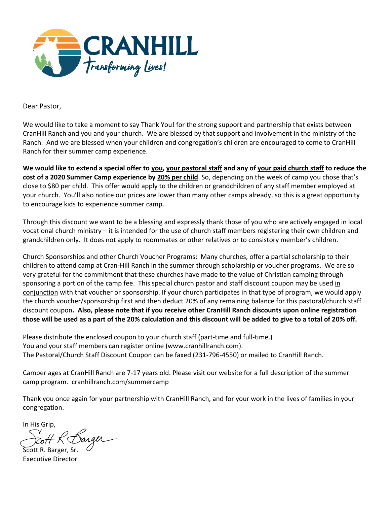

Dear Pastor,

We would like to take a moment to say Thank You! for the strong support and partnership that exists between CranHill Ranch and you and your church. We are blessed by that support and involvement in the ministry of the Ranch. And we are blessed when your children and congregation's children are encouraged to come to CranHill Ranch for their summer camp experience.

**We would like to extend a special offer to you, your pastoral staff and any of your paid church staff to reduce the cost of a 2020 Summer Camp experience by 20% per child**. So, depending on the week of camp you chose that's close to \$80 per child. This offer would apply to the children or grandchildren of any staff member employed at your church. You'll also notice our prices are lower than many other camps already, so this is a great opportunity to encourage kids to experience summer camp.

Through this discount we want to be a blessing and expressly thank those of you who are actively engaged in local vocational church ministry – it is intended for the use of church staff members registering their own children and grandchildren only. It does not apply to roommates or other relatives or to consistory member's children.

Church Sponsorships and other Church Voucher Programs: Many churches, offer a partial scholarship to their children to attend camp at Cran-Hill Ranch in the summer through scholarship or voucher programs. We are so very grateful for the commitment that these churches have made to the value of Christian camping through sponsoring a portion of the camp fee. This special church pastor and staff discount coupon may be used in conjunction with that voucher or sponsorship. If your church participates in that type of program, we would apply the church voucher/sponsorship first and then deduct 20% of any remaining balance for this pastoral/church staff discount coupon**. Also, please note that if you receive other CranHill Ranch discounts upon online registration those will be used as a part of the 20% calculation and this discount will be added to give to a total of 20% off.**

Please distribute the enclosed coupon to your church staff (part-time and full-time.) You and your staff members can register online (www.cranhillranch.com). The Pastoral/Church Staff Discount Coupon can be faxed (231-796-4550) or mailed to CranHill Ranch.

Camper ages at CranHill Ranch are 7-17 years old. Please visit our website for a full description of the summer camp program. cranhillranch.com/summercamp

Thank you once again for your partnership with CranHill Ranch, and for your work in the lives of families in your congregation.

In His Grip,

Barger

Scott R. Barger, Sr. Executive Director